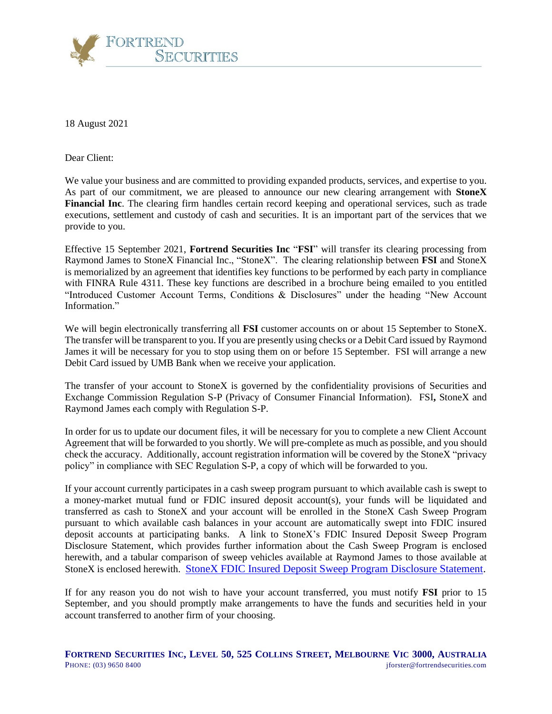

18 August 2021

Dear Client:

We value your business and are committed to providing expanded products, services, and expertise to you. As part of our commitment, we are pleased to announce our new clearing arrangement with **StoneX Financial Inc**. The clearing firm handles certain record keeping and operational services, such as trade executions, settlement and custody of cash and securities. It is an important part of the services that we provide to you.

Effective 15 September 2021, **Fortrend Securities Inc** "**FSI**" will transfer its clearing processing from Raymond James to StoneX Financial Inc., "StoneX". The clearing relationship between **FSI** and StoneX is memorialized by an agreement that identifies key functions to be performed by each party in compliance with FINRA Rule 4311. These key functions are described in a brochure being emailed to you entitled "Introduced Customer Account Terms, Conditions & Disclosures" under the heading "New Account Information."

We will begin electronically transferring all **FSI** customer accounts on or about 15 September to StoneX. The transfer will be transparent to you. If you are presently using checks or a Debit Card issued by Raymond James it will be necessary for you to stop using them on or before 15 September. FSI will arrange a new Debit Card issued by UMB Bank when we receive your application.

The transfer of your account to StoneX is governed by the confidentiality provisions of Securities and Exchange Commission Regulation S-P (Privacy of Consumer Financial Information). FSI**,** StoneX and Raymond James each comply with Regulation S-P.

In order for us to update our document files, it will be necessary for you to complete a new Client Account Agreement that will be forwarded to you shortly. We will pre-complete as much as possible, and you should check the accuracy. Additionally, account registration information will be covered by the StoneX "privacy policy" in compliance with SEC Regulation S-P, a copy of which will be forwarded to you.

If your account currently participates in a cash sweep program pursuant to which available cash is swept to a money-market mutual fund or FDIC insured deposit account(s), your funds will be liquidated and transferred as cash to StoneX and your account will be enrolled in the StoneX Cash Sweep Program pursuant to which available cash balances in your account are automatically swept into FDIC insured deposit accounts at participating banks. A link to StoneX's FDIC Insured Deposit Sweep Program Disclosure Statement, which provides further information about the Cash Sweep Program is enclosed herewith, and a tabular comparison of sweep vehicles available at Raymond James to those available at StoneX is enclosed herewith. [StoneX FDIC Insured Deposit Sweep Program Disclosure Statement.](https://616227ab-5470-4197-a97c-1686b4df2a55.filesusr.com/ugd/23c810_14d40e6a6c2e472e904b23fa3f1795f3.pdf)

If for any reason you do not wish to have your account transferred, you must notify **FSI** prior to 15 September, and you should promptly make arrangements to have the funds and securities held in your account transferred to another firm of your choosing.